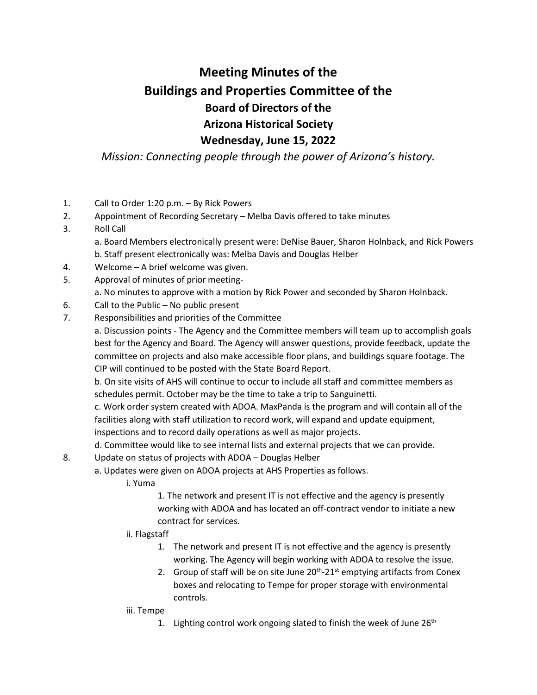## **Meeting Minutes of the Buildings and Properties Committee of the Board of Directors of the Arizona Historical Society Wednesday, June 15, 2022**

*Mission: Connecting people through the power of Arizona's history.*

- 1. Call to Order 1:20 p.m. By Rick Powers
- 2. Appointment of Recording Secretary Melba Davis offered to take minutes
- 3. Roll Call

a. Board Members electronically present were: DeNise Bauer, Sharon Holnback, and Rick Powers b. Staff present electronically was: Melba Davis and Douglas Helber

- 4. Welcome A brief welcome was given.
- 5. Approval of minutes of prior meetinga. No minutes to approve with a motion by Rick Power and seconded by Sharon Holnback.
- 6. Call to the Public No public present
- 7. Responsibilities and priorities of the Committee

a. Discussion points - The Agency and the Committee members will team up to accomplish goals best for the Agency and Board. The Agency will answer questions, provide feedback, update the committee on projects and also make accessible floor plans, and buildings square footage. The CIP will continued to be posted with the State Board Report.

b. On site visits of AHS will continue to occur to include all staff and committee members as schedules permit. October may be the time to take a trip to Sanguinetti.

c. Work order system created with ADOA. MaxPanda is the program and will contain all of the facilities along with staff utilization to record work, will expand and update equipment, inspections and to record daily operations as well as major projects.

d. Committee would like to see internal lists and external projects that we can provide.

- 8. Update on status of projects with ADOA Douglas Helber
	- a. Updates were given on ADOA projects at AHS Properties as follows.
		- i. Yuma

1. The network and present IT is not effective and the agency is presently working with ADOA and has located an off-contract vendor to initiate a new contract for services.

- ii. Flagstaff
	- 1. The network and present IT is not effective and the agency is presently working. The Agency will begin working with ADOA to resolve the issue.
	- 2. Group of staff will be on site June  $20<sup>th</sup> 21<sup>st</sup>$  emptying artifacts from Conex boxes and relocating to Tempe for proper storage with environmental controls.
- iii. Tempe
	- 1. Lighting control work ongoing slated to finish the week of June  $26<sup>th</sup>$